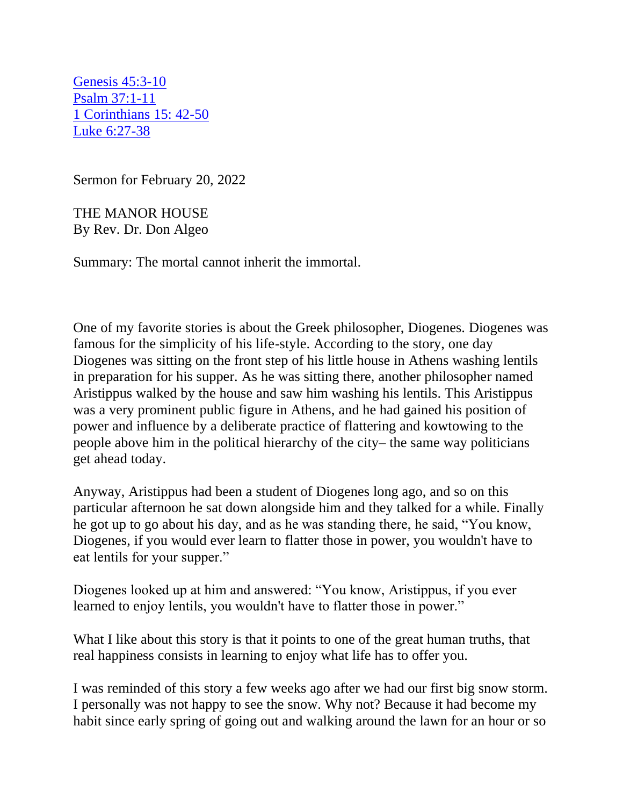Genesis 45:3-10 [Psalm 37:1-11](https://mail.protonmail.com/u/0/inbox/XLQjDdH1d8oPeXqzvY5O-oPE4f_YN3T0WjUgt4ivGQ_cNlHj3-ELDvoEdXMt0LLRj-tVBRNHfufc-qC3n3Z5rQ==#psalm_reading)  [1 Corinthians 15: 42-50](https://mail.protonmail.com/u/0/inbox/XLQjDdH1d8oPeXqzvY5O-oPE4f_YN3T0WjUgt4ivGQ_cNlHj3-ELDvoEdXMt0LLRj-tVBRNHfufc-qC3n3Z5rQ==#epistle_reading)  [Luke 6:27-38](https://mail.protonmail.com/u/0/inbox/XLQjDdH1d8oPeXqzvY5O-oPE4f_YN3T0WjUgt4ivGQ_cNlHj3-ELDvoEdXMt0LLRj-tVBRNHfufc-qC3n3Z5rQ==#gospel_reading)

Sermon for February 20, 2022

THE MANOR HOUSE By Rev. Dr. Don Algeo

Summary: The mortal cannot inherit the immortal.

One of my favorite stories is about the Greek philosopher, Diogenes. Diogenes was famous for the simplicity of his life-style. According to the story, one day Diogenes was sitting on the front step of his little house in Athens washing lentils in preparation for his supper. As he was sitting there, another philosopher named Aristippus walked by the house and saw him washing his lentils. This Aristippus was a very prominent public figure in Athens, and he had gained his position of power and influence by a deliberate practice of flattering and kowtowing to the people above him in the political hierarchy of the city– the same way politicians get ahead today.

Anyway, Aristippus had been a student of Diogenes long ago, and so on this particular afternoon he sat down alongside him and they talked for a while. Finally he got up to go about his day, and as he was standing there, he said, "You know, Diogenes, if you would ever learn to flatter those in power, you wouldn't have to eat lentils for your supper."

Diogenes looked up at him and answered: "You know, Aristippus, if you ever learned to enjoy lentils, you wouldn't have to flatter those in power."

What I like about this story is that it points to one of the great human truths, that real happiness consists in learning to enjoy what life has to offer you.

I was reminded of this story a few weeks ago after we had our first big snow storm. I personally was not happy to see the snow. Why not? Because it had become my habit since early spring of going out and walking around the lawn for an hour or so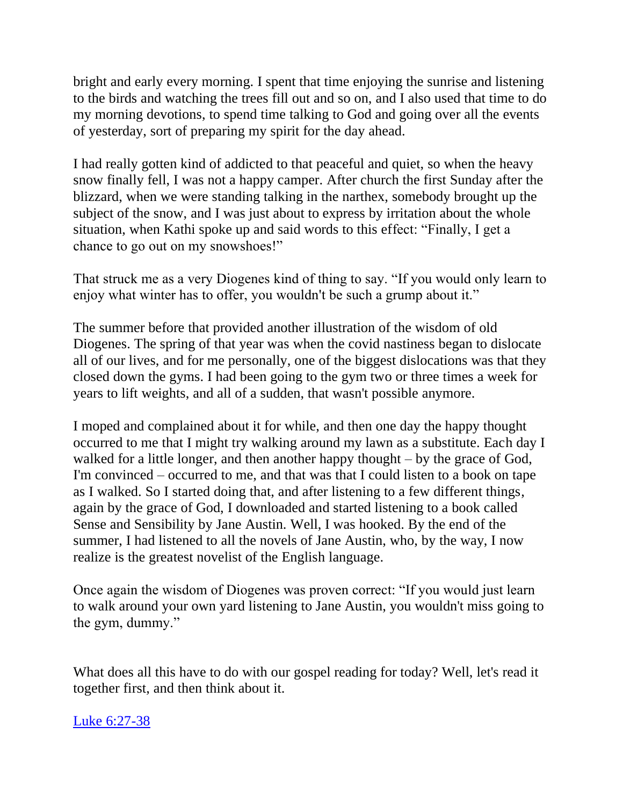bright and early every morning. I spent that time enjoying the sunrise and listening to the birds and watching the trees fill out and so on, and I also used that time to do my morning devotions, to spend time talking to God and going over all the events of yesterday, sort of preparing my spirit for the day ahead.

I had really gotten kind of addicted to that peaceful and quiet, so when the heavy snow finally fell, I was not a happy camper. After church the first Sunday after the blizzard, when we were standing talking in the narthex, somebody brought up the subject of the snow, and I was just about to express by irritation about the whole situation, when Kathi spoke up and said words to this effect: "Finally, I get a chance to go out on my snowshoes!"

That struck me as a very Diogenes kind of thing to say. "If you would only learn to enjoy what winter has to offer, you wouldn't be such a grump about it."

The summer before that provided another illustration of the wisdom of old Diogenes. The spring of that year was when the covid nastiness began to dislocate all of our lives, and for me personally, one of the biggest dislocations was that they closed down the gyms. I had been going to the gym two or three times a week for years to lift weights, and all of a sudden, that wasn't possible anymore.

I moped and complained about it for while, and then one day the happy thought occurred to me that I might try walking around my lawn as a substitute. Each day I walked for a little longer, and then another happy thought – by the grace of God, I'm convinced – occurred to me, and that was that I could listen to a book on tape as I walked. So I started doing that, and after listening to a few different things, again by the grace of God, I downloaded and started listening to a book called Sense and Sensibility by Jane Austin. Well, I was hooked. By the end of the summer, I had listened to all the novels of Jane Austin, who, by the way, I now realize is the greatest novelist of the English language.

Once again the wisdom of Diogenes was proven correct: "If you would just learn to walk around your own yard listening to Jane Austin, you wouldn't miss going to the gym, dummy."

What does all this have to do with our gospel reading for today? Well, let's read it together first, and then think about it.

[Luke 6:27-38](https://mail.protonmail.com/u/0/inbox/XLQjDdH1d8oPeXqzvY5O-oPE4f_YN3T0WjUgt4ivGQ_cNlHj3-ELDvoEdXMt0LLRj-tVBRNHfufc-qC3n3Z5rQ==#gospel_reading)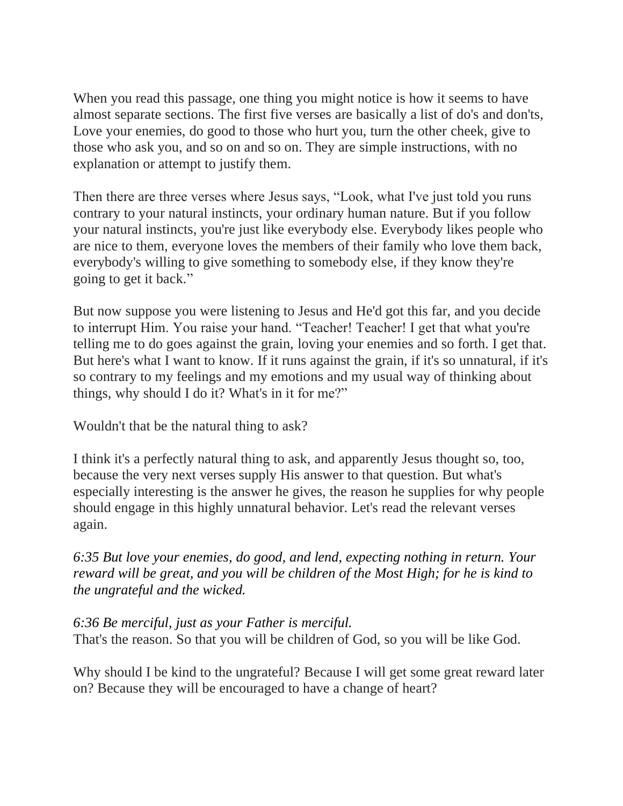When you read this passage, one thing you might notice is how it seems to have almost separate sections. The first five verses are basically a list of do's and don'ts, Love your enemies, do good to those who hurt you, turn the other cheek, give to those who ask you, and so on and so on. They are simple instructions, with no explanation or attempt to justify them.

Then there are three verses where Jesus says, "Look, what I've just told you runs contrary to your natural instincts, your ordinary human nature. But if you follow your natural instincts, you're just like everybody else. Everybody likes people who are nice to them, everyone loves the members of their family who love them back, everybody's willing to give something to somebody else, if they know they're going to get it back."

But now suppose you were listening to Jesus and He'd got this far, and you decide to interrupt Him. You raise your hand. "Teacher! Teacher! I get that what you're telling me to do goes against the grain, loving your enemies and so forth. I get that. But here's what I want to know. If it runs against the grain, if it's so unnatural, if it's so contrary to my feelings and my emotions and my usual way of thinking about things, why should I do it? What's in it for me?"

Wouldn't that be the natural thing to ask?

I think it's a perfectly natural thing to ask, and apparently Jesus thought so, too, because the very next verses supply His answer to that question. But what's especially interesting is the answer he gives, the reason he supplies for why people should engage in this highly unnatural behavior. Let's read the relevant verses again.

*6:35 But love your enemies, do good, and lend, expecting nothing in return. Your reward will be great, and you will be children of the Most High; for he is kind to the ungrateful and the wicked.*

*6:36 Be merciful, just as your Father is merciful.* That's the reason. So that you will be children of God, so you will be like God.

Why should I be kind to the ungrateful? Because I will get some great reward later on? Because they will be encouraged to have a change of heart?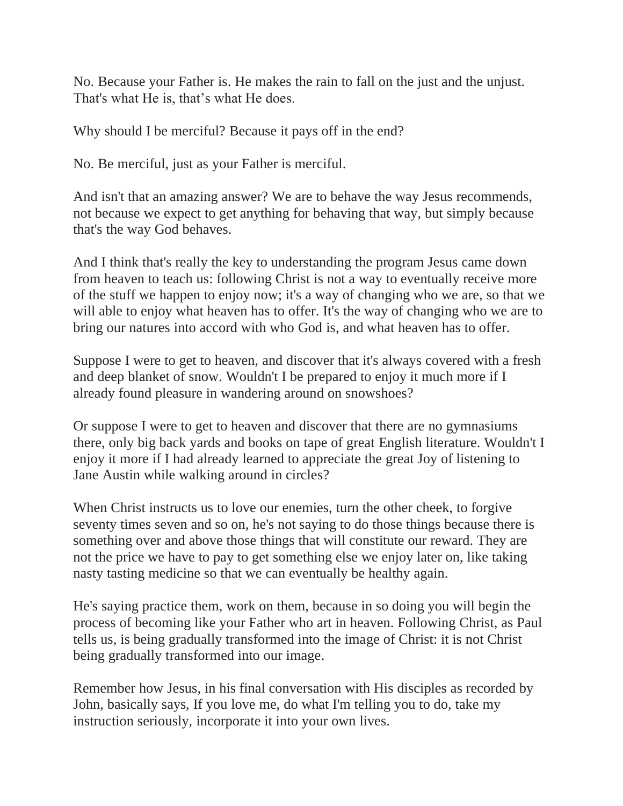No. Because your Father is. He makes the rain to fall on the just and the unjust. That's what He is, that's what He does.

Why should I be merciful? Because it pays off in the end?

No. Be merciful, just as your Father is merciful.

And isn't that an amazing answer? We are to behave the way Jesus recommends, not because we expect to get anything for behaving that way, but simply because that's the way God behaves.

And I think that's really the key to understanding the program Jesus came down from heaven to teach us: following Christ is not a way to eventually receive more of the stuff we happen to enjoy now; it's a way of changing who we are, so that we will able to enjoy what heaven has to offer. It's the way of changing who we are to bring our natures into accord with who God is, and what heaven has to offer.

Suppose I were to get to heaven, and discover that it's always covered with a fresh and deep blanket of snow. Wouldn't I be prepared to enjoy it much more if I already found pleasure in wandering around on snowshoes?

Or suppose I were to get to heaven and discover that there are no gymnasiums there, only big back yards and books on tape of great English literature. Wouldn't I enjoy it more if I had already learned to appreciate the great Joy of listening to Jane Austin while walking around in circles?

When Christ instructs us to love our enemies, turn the other cheek, to forgive seventy times seven and so on, he's not saying to do those things because there is something over and above those things that will constitute our reward. They are not the price we have to pay to get something else we enjoy later on, like taking nasty tasting medicine so that we can eventually be healthy again.

He's saying practice them, work on them, because in so doing you will begin the process of becoming like your Father who art in heaven. Following Christ, as Paul tells us, is being gradually transformed into the image of Christ: it is not Christ being gradually transformed into our image.

Remember how Jesus, in his final conversation with His disciples as recorded by John, basically says, If you love me, do what I'm telling you to do, take my instruction seriously, incorporate it into your own lives.